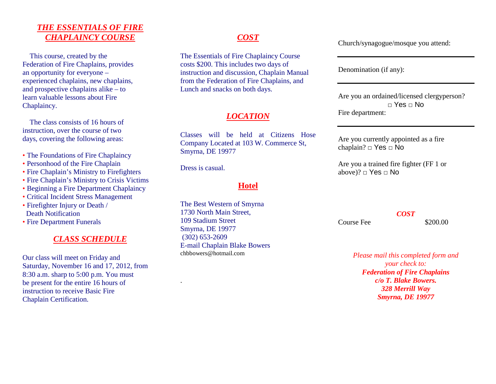## *THE ESSENTIALS OF FIRECHAPLAINCY COURSE*

 This course, created by the Federation of Fire Chaplains, provides an opportunity for everyone – experienced chaplains, new chaplains, and prospective chaplains alike – to learn valuable lessons about Fire Chaplaincy.

 The class consists of 16 hours of instruction, over the course of two days, covering the following areas:

- The Foundations of Fire Chaplaincy
- Personhood of the Fire Chaplain
- Fire Chaplain's Ministry to Firefighters
- Fire Chaplain's Ministry to Crisis Victims
- Beginning a Fire Department Chaplaincy
- Critical Incident Stress Management
- Firefighter Injury or Death / Death Notification
- Fire Department Funerals

## *CLASS SCHEDULE*

Our class will meet on Friday and Saturday, November 16 and 17, 2012, from 8:30 a.m. sharp to 5:00 p.m. You must be present for the entire 16 hours of instruction to receive Basic Fire Chaplain Certification.

## *COST*

The Essentials of Fire Chaplaincy Course costs \$200. This includes two days of instruction and discussion, Chaplain Manual from the Federation of Fire Chaplains, and Lunch and snacks on both days.

# *LOCATION*

Classes will be held at Citizens Hose Company Located at 103 W. Commerce St, Smyrna, DE 19977

Dress is casual.

.

### **Hotel**

The Best Western of Smyrna 1730 North Main Street, 109 Stadium Street Smyrna, DE 19977 (302) 653-2609 E-mail Chaplain Blake Bowers chbbowers@hotmail.com

Church/synagogue/mosque you attend:

Denomination (if any):

Are you an ordained/licensed clergyperson? □ Yes □ No Fire department:

Are you currently appointed as a fire chaplain? □ Yes □ No

Are you a trained fire fighter (FF 1 or above)? □ Yes □ No

Course Fee  $$200.00$ 

*Please mail this completed form and your check to: Federation of Fire Chaplains c/o T. Blake Bowers. 328 Merrill Way Smyrna, DE 19977* 

*COST*